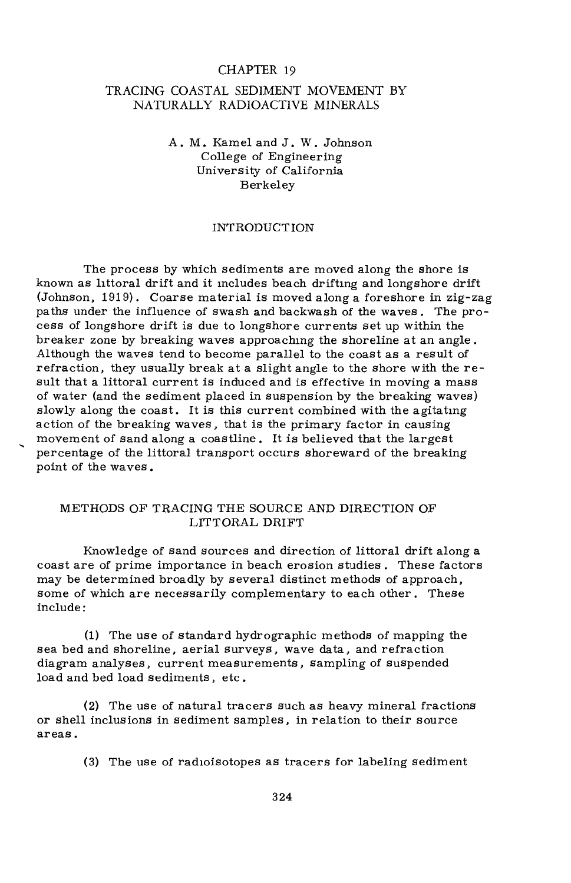#### CHAPTER 19

## TRACING COASTAL SEDIMENT MOVEMENT BY NATURALLY RADIOACTIVE MINERALS

A.M. Kamel and J. W. Johnson College of Engineering University of California Berkeley

## INTRODUCTION

The process by which sediments are moved along the shore is known as littoral drift and it includes beach drifting and longshore drift (Johnson, 1919). Coarse material is moved along a foreshore in zig-zag paths under the influence of swash and backwash of the waves. The process of longshore drift is due to longshore currents set up within the breaker zone by breaking waves approaching the shoreline at an angle. Although the waves tend to become parallel to the coast as a result of refraction, they usually break at a slight angle to the shore with the result that a littoral current is induced and is effective in moving a mass of water (and the sediment placed in suspension by the breaking waves) slowly along the coast. It is this current combined with the agitating action of the breaking waves, that is the primary factor in causing movement of sand along a coastline. It is believed that the largest percentage of the littoral transport occurs shoreward of the breaking point of the waves .

#### METHODS OF TRACING THE SOURCE AND DIRECTION OF LITTORAL DRIFT

Knowledge of sand sources and direction of littoral drift along a coast are of prime importance in beach erosion studies . These factors may be determined broadly by several distinct methods of approach, some of which are necessarily complementary to each other. These include:

(1) The use of standard hydrographic methods of mapping the sea bed and shoreline, aerial surveys, wave data, and refraction diagram analyses, current measurements, sampling of suspended load and bed load sediments, etc.

(2) The use of natural tracers such as heavy mineral fractions or shell inclusions in sediment samples, in relation to their source areas.

(3) The use of radioisotopes as tracers for labeling sediment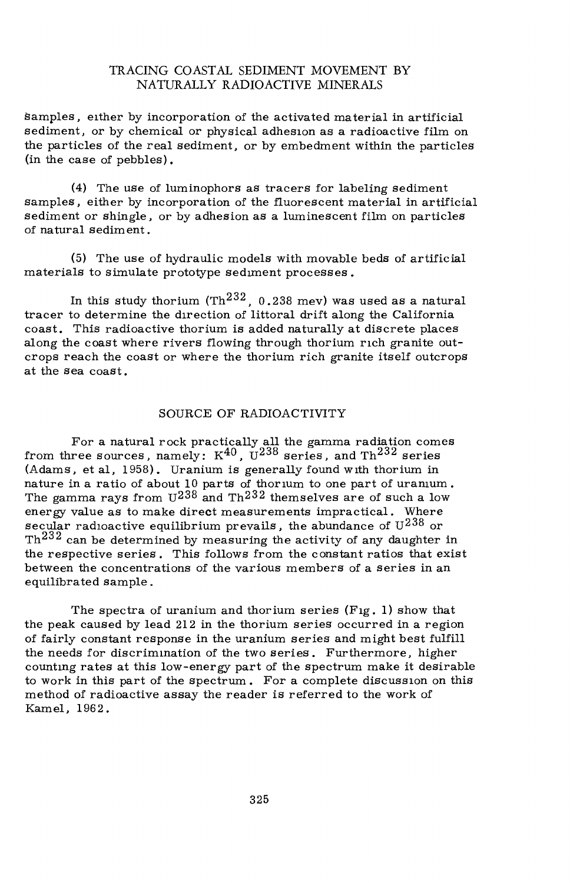## TRACING COASTAL SEDIMENT MOVEMENT BY NATURALLY RADIOACTIVE MINERALS

samples, either by incorporation of the activated material in artificial sediment, or by chemical or physical adhesion as a radioactive film on the particles of the real sediment, or by embedment within the particles (in the case of pebbles).

(4) The use of luminophors as tracers for labeling sediment samples, either by incorporation of the fluorescent material in artificial sediment or shingle, or by adhesion as a luminescent film on particles of natural sediment.

(5) The use of hydraulic models with movable beds of artificial materials to simulate prototype sediment processes.

In this study thorium (Th $^{232}$ , 0.238 mev) was used as a natural tracer to determine the direction of littoral drift along the California coast. This radioactive thorium is added naturally at discrete places along the coast where rivers flowing through thorium rich granite outcrops reach the coast or where the thorium rich granite itself outcrops at the sea coast.

#### SOURCE OF RADIOACTIVITY

For a natural rock practically all the gamma radiation comes from three sources, namely:  $K^{40}$ ,  $U^{238}$  series, and Th<sup>232</sup> series (Adams, et al, 1958). Uranium is generally found with thorium in nature in a ratio of about 10 parts of thorium to one part of uranium. The gamma rays from  $U^{238}$  and  $Th^{232}$  themselves are of such a low energy value as to make direct measurements impractical. Where secular radioactive equilibrium prevails, the abundance of  $U^{238}$  or Th<sup>232</sup> can be determined by measuring the activity of any daughter in the respective series. This follows from the constant ratios that exist between the concentrations of the various members of a series in an equilibrated sample.

The spectra of uranium and thorium series (Fig. 1) show that the peak caused by lead 212 in the thorium series occurred in a region of fairly constant response in the uranium series and might best fulfill the needs for discrimination of the two series. Furthermore, higher counting rates at this low-energy part of the spectrum make it desirable to work in this part of the spectrum. For a complete discussion on this method of radioactive assay the reader is referred to the work of Kamel, 1962.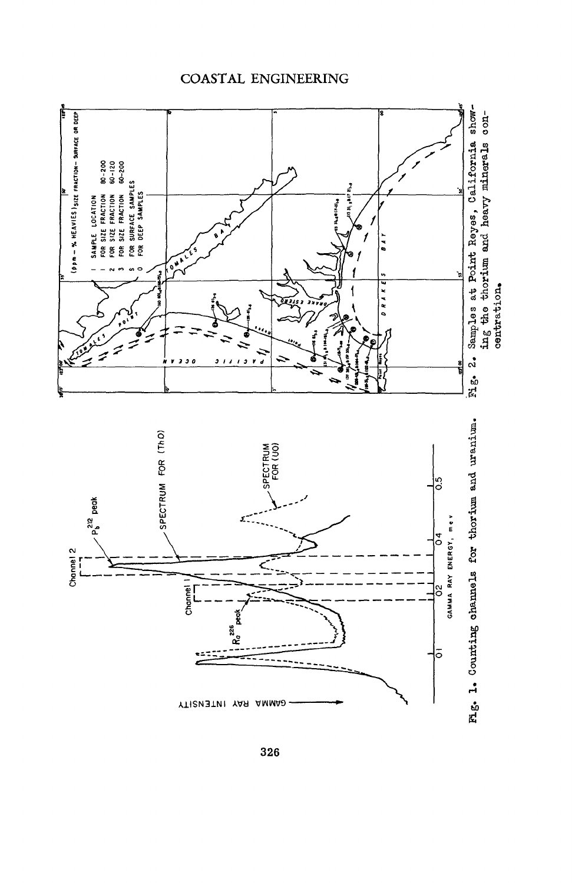# COASTAL ENGINEERING



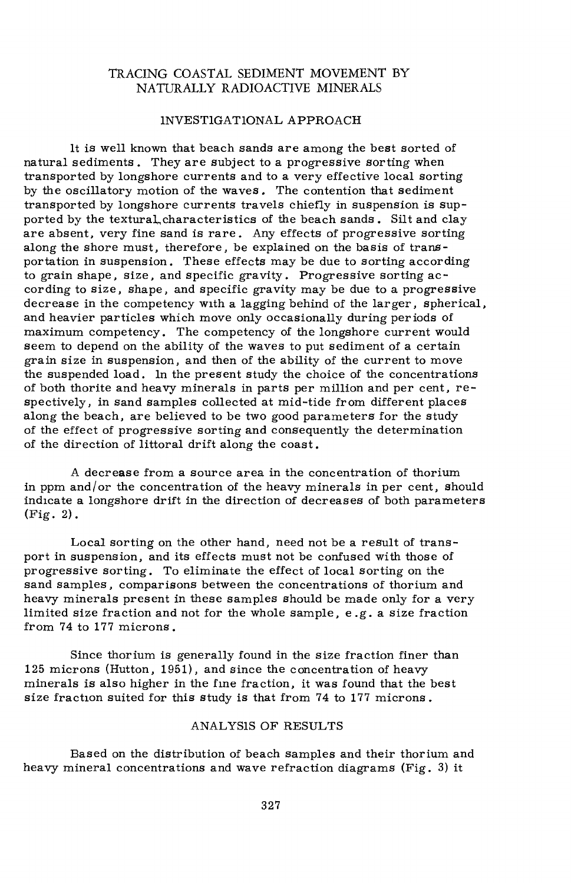## TRACING COASTAL SEDIMENT MOVEMENT BY NATURALLY RADIOACTIVE MINERALS

#### INVESTIGATIONAL APPROACH

It is well known that beach sands are among the best sorted of natural sediments. They are subject to a progressive sorting when transported by longshore currents and to a very effective local sorting by the oscillatory motion of the waves. The contention that sediment transported by longshore currents travels chiefly in suspension is supported by the texturaL,characteristics of the beach sands . Silt and clay are absent, very fine sand is rare. Any effects of progressive sorting along the shore must, therefore, be explained on the basis of transportation in suspension. These effects may be due to sorting according to grain shape, size, and specific gravity. Progressive sorting according to size, shape, and specific gravity may be due to a progressive decrease in the competency with a lagging behind of the larger, spherical, and heavier particles which move only occasionally during periods of maximum competency. The competency of the longshore current would seem to depend on the ability of the waves to put sediment of a certain grain size in suspension, and then of the ability of the current to move the suspended load. In the present study the choice of the concentrations of both thorite and heavy minerals in parts per million and per cent, respectively, in sand samples collected at mid-tide from different places along the beach, are believed to be two good parameters for the study of the effect of progressive sorting and consequently the determination of the direction of littoral drift along the coast.

A decrease from a source area in the concentration of thorium in ppm and/or the concentration of the heavy minerals in per cent, should indicate a longshore drift in the direction of decreases of both parameters (Fig. 2).

Local sorting on the other hand, need not be a result of transport in suspension, and its effects must not be confused with those of progressive sorting. To eliminate the effect of local sorting on the sand samples, comparisons between the concentrations of thorium and heavy minerals present in these samples should be made only for a very limited size fraction and not for the whole sample, e.g. a size fraction from 74 to 177 microns.

Since thorium is generally found in the size fraction finer than 125 microns (Hutton, 1951), and since the concentration of heavy minerals is also higher in the fine fraction, it was found that the best size fraction suited for this study is that from 74 to 177 microns.

## ANALYSIS OF RESULTS

Based on the distribution of beach samples and their thorium and heavy mineral concentrations and wave refraction diagrams (Fig. 3) it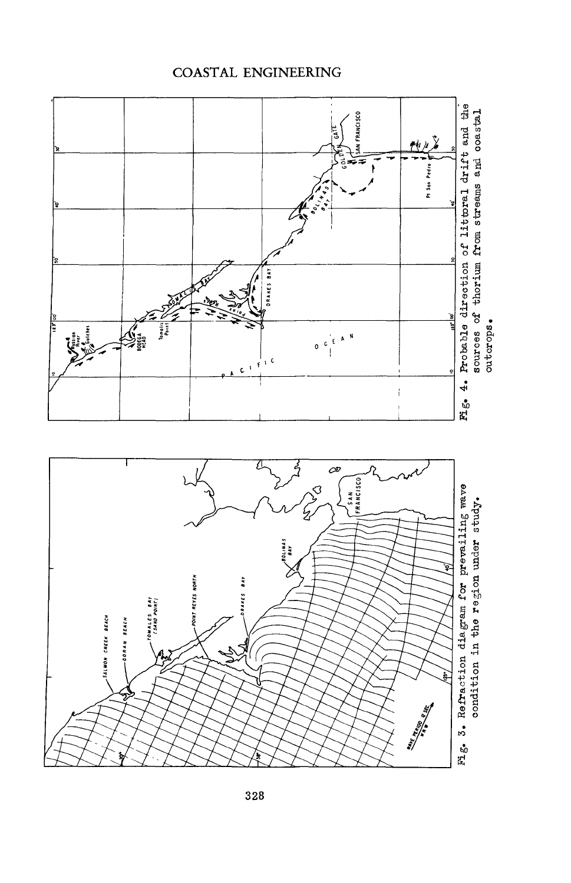## **COASTAL ENGINEERING**

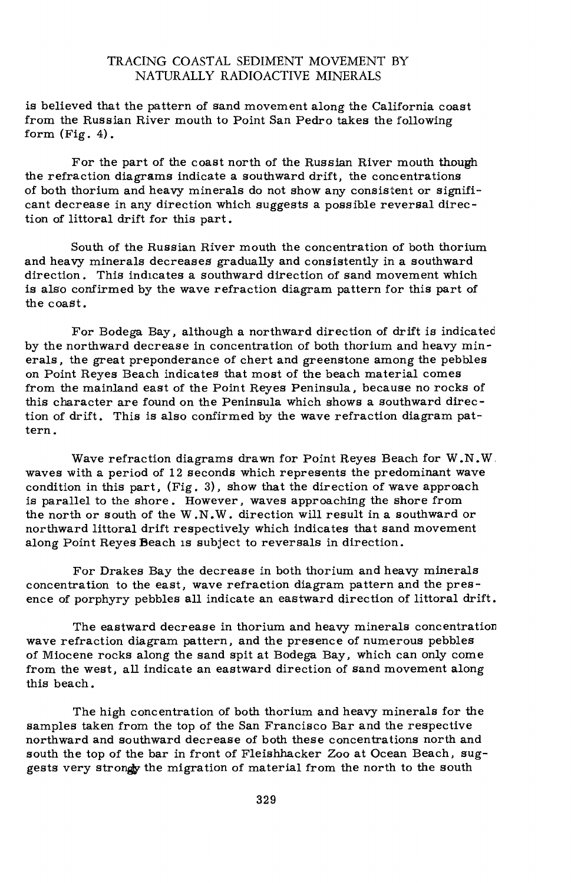## TRACING COASTAL SEDIMENT MOVEMENT BY NATURALLY RADIOACTIVE MINERALS

is believed that the pattern of sand movement along the California coast from the Russian River mouth to Point San Pedro takes the following form  $(Fig. 4)$ .

For the part of the coast north of the Russian River mouth though the refraction diagrams indicate a southward drift, the concentrations of both thorium and heavy minerals do not show any consistent or significant decrease in any direction which suggests a possible reversal direction of littoral drift for this part.

South of the Russian River mouth the concentration of both thorium and heavy minerals decreases gradually and consistently in a southward direction. This indicates a southward direction of sand movement which is also confirmed by the wave refraction diagram pattern for this part of the coast.

For Bodega Bay, although a northward direction of drift is indicated by the northward decrease in concentration of both thorium and heavy minerals, the great preponderance of chert and greenstone among the pebbles on Point Reyes Beach indicates that most of the beach material comes from the mainland east of the Point Reyes Peninsula, because no rocks of this character are found on the Peninsula which shows a southward direction of drift. This is also confirmed by the wave refraction diagram pattern.

Wave refraction diagrams drawn for Point Reyes Beach for W.N.W waves with a period of 12 seconds which represents the predominant wave condition in this part, (Fig. 3), show that the direction of wave approach is parallel to the shore. However, waves approaching the shore from the north or south of the W.N.W. direction will result in a southward or northward littoral drift respectively which indicates that sand movement along Point Reyes Beach is subject to reversals in direction.

For Drakes Bay the decrease in both thorium and heavy minerals concentration to the east, wave refraction diagram pattern and the presence of porphyry pebbles all indicate an eastward direction of littoral drift.

The eastward decrease in thorium and heavy minerals concentration wave refraction diagram pattern, and the presence of numerous pebbles of Miocene rocks along the sand spit at Bodega Bay, which can only come from the west, all indicate an eastward direction of sand movement along this beach.

The high concentration of both thorium and heavy minerals for the samples taken from the top of the San Francisco Bar and the respective northward and southward decrease of both these concentrations north and south the top of the bar in front of Fleishhacker Zoo at Ocean Beach, suggests very strongly the migration of material from the north to the south